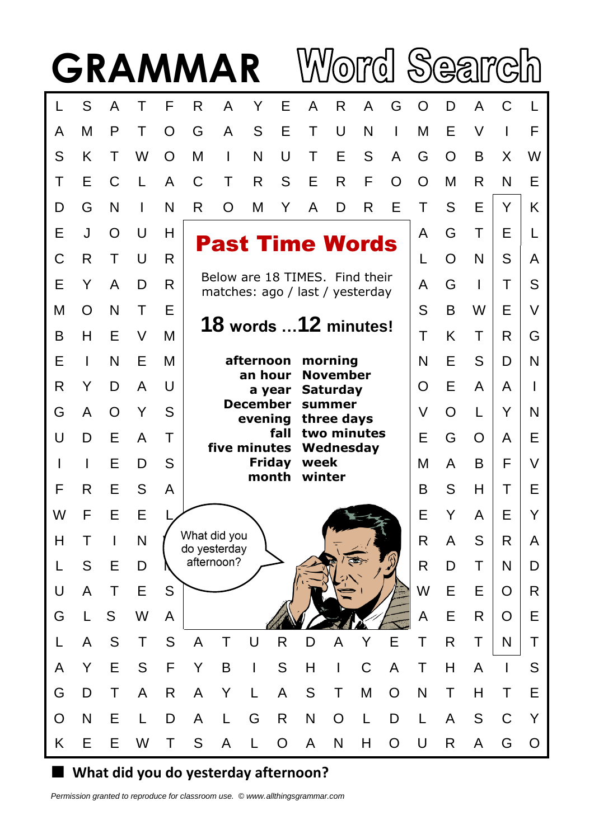

## **What did you do yesterday afternoon?**

*Permission granted to reproduce for classroom use. © www.allthingsgrammar.com*